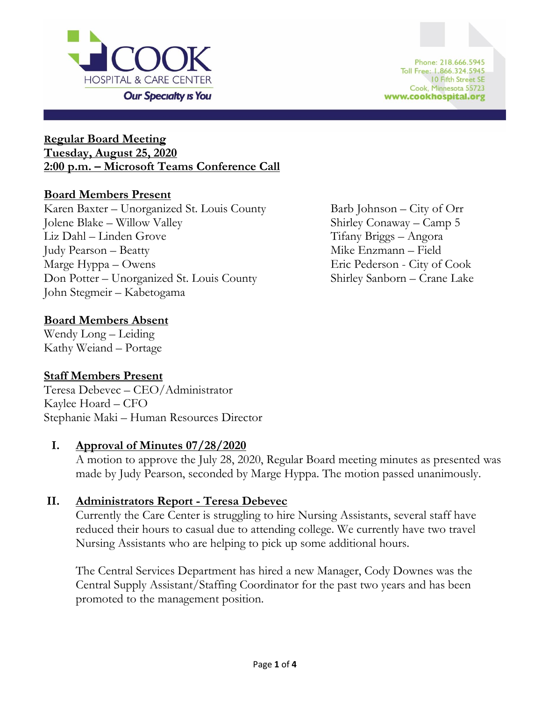

### **Regular Board Meeting Tuesday, August 25, 2020 2:00 p.m. – Microsoft Teams Conference Call**

### **Board Members Present**

Karen Baxter – Unorganized St. Louis County Barb Johnson – City of Orr Jolene Blake – Willow Valley Shirley Conaway – Camp 5 Liz Dahl – Linden Grove Tifany Briggs – Angora Judy Pearson – Beatty Mike Enzmann – Field Marge Hyppa – Owens Eric Pederson - City of Cook Don Potter – Unorganized St. Louis County Shirley Sanborn – Crane Lake John Stegmeir – Kabetogama

## **Board Members Absent**

Wendy Long – Leiding Kathy Weiand – Portage

## **Staff Members Present**

Teresa Debevec – CEO/Administrator Kaylee Hoard – CFO Stephanie Maki – Human Resources Director

## **I. Approval of Minutes 07/28/2020**

A motion to approve the July 28, 2020, Regular Board meeting minutes as presented was made by Judy Pearson, seconded by Marge Hyppa. The motion passed unanimously.

## **II. Administrators Report - Teresa Debevec**

Currently the Care Center is struggling to hire Nursing Assistants, several staff have reduced their hours to casual due to attending college. We currently have two travel Nursing Assistants who are helping to pick up some additional hours.

The Central Services Department has hired a new Manager, Cody Downes was the Central Supply Assistant/Staffing Coordinator for the past two years and has been promoted to the management position.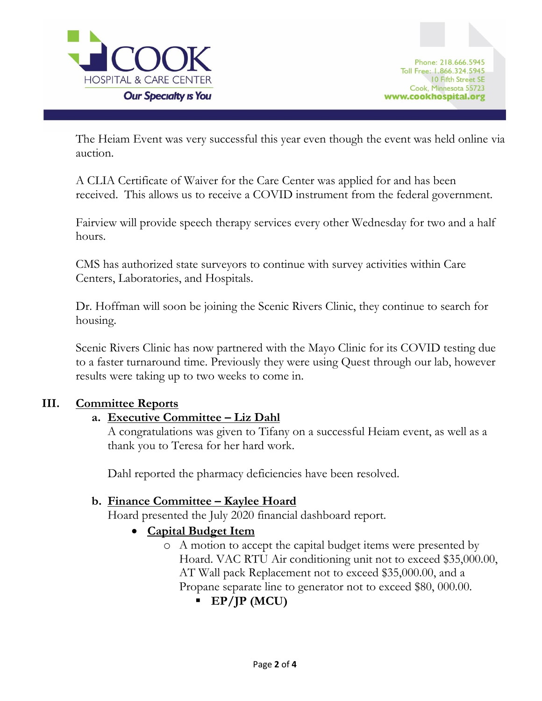

The Heiam Event was very successful this year even though the event was held online via auction.

A CLIA Certificate of Waiver for the Care Center was applied for and has been received. This allows us to receive a COVID instrument from the federal government.

Fairview will provide speech therapy services every other Wednesday for two and a half hours.

CMS has authorized state surveyors to continue with survey activities within Care Centers, Laboratories, and Hospitals.

Dr. Hoffman will soon be joining the Scenic Rivers Clinic, they continue to search for housing.

Scenic Rivers Clinic has now partnered with the Mayo Clinic for its COVID testing due to a faster turnaround time. Previously they were using Quest through our lab, however results were taking up to two weeks to come in.

### **III. Committee Reports**

### **a. Executive Committee – Liz Dahl**

A congratulations was given to Tifany on a successful Heiam event, as well as a thank you to Teresa for her hard work.

Dahl reported the pharmacy deficiencies have been resolved.

### **b. Finance Committee – Kaylee Hoard**

Hoard presented the July 2020 financial dashboard report.

- **Capital Budget Item**
	- o A motion to accept the capital budget items were presented by Hoard. VAC RTU Air conditioning unit not to exceed \$35,000.00, AT Wall pack Replacement not to exceed \$35,000.00, and a Propane separate line to generator not to exceed \$80, 000.00.
		- **EP/JP (MCU)**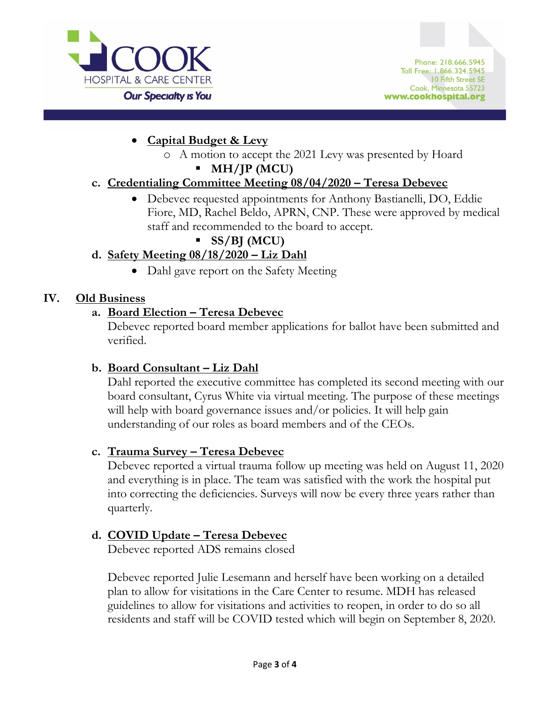

- **Capital Budget & Levy**
	- o A motion to accept the 2021 Levy was presented by Hoard

# ▪ **MH/JP (MCU)**

# **c. Credentialing Committee Meeting 08/04/2020 – Teresa Debevec**

• Debevec requested appointments for Anthony Bastianelli, DO, Eddie Fiore, MD, Rachel Beldo, APRN, CNP. These were approved by medical staff and recommended to the board to accept.

# ▪ **SS/BJ (MCU)**

# **d. Safety Meeting 08/18/2020 – Liz Dahl**

• Dahl gave report on the Safety Meeting

## **IV. Old Business**

## **a. Board Election – Teresa Debevec**

Debevec reported board member applications for ballot have been submitted and verified.

# **b. Board Consultant – Liz Dahl**

Dahl reported the executive committee has completed its second meeting with our board consultant, Cyrus White via virtual meeting. The purpose of these meetings will help with board governance issues and/or policies. It will help gain understanding of our roles as board members and of the CEOs.

# **c. Trauma Survey – Teresa Debevec**

Debevec reported a virtual trauma follow up meeting was held on August 11, 2020 and everything is in place. The team was satisfied with the work the hospital put into correcting the deficiencies. Surveys will now be every three years rather than quarterly.

# **d. COVID Update – Teresa Debevec**

Debevec reported ADS remains closed

Debevec reported Julie Lesemann and herself have been working on a detailed plan to allow for visitations in the Care Center to resume. MDH has released guidelines to allow for visitations and activities to reopen, in order to do so all residents and staff will be COVID tested which will begin on September 8, 2020.